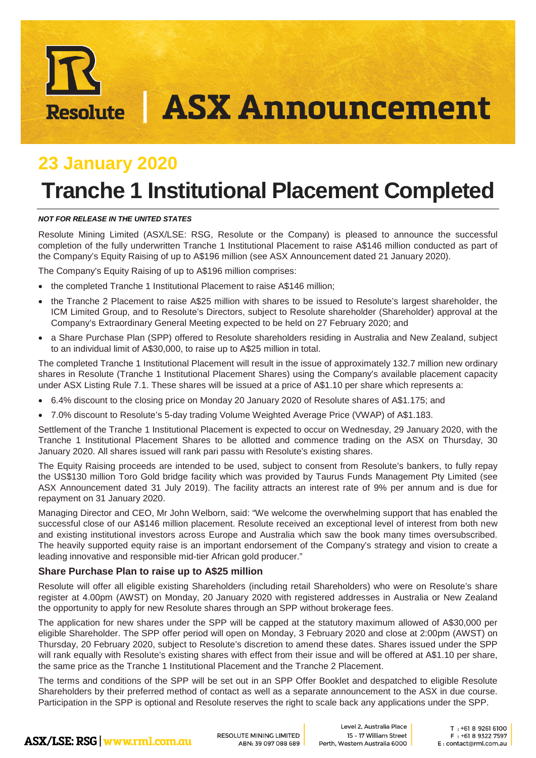# **ASX Announcement Resolute**

# **23 January 2020**

# **Tranche 1 Institutional Placement Completed**

#### *NOT FOR RELEASE IN THE UNITED STATES*

Resolute Mining Limited (ASX/LSE: RSG, Resolute or the Company) is pleased to announce the successful completion of the fully underwritten Tranche 1 Institutional Placement to raise A\$146 million conducted as part of the Company's Equity Raising of up to A\$196 million (see ASX Announcement dated 21 January 2020).

The Company's Equity Raising of up to A\$196 million comprises:

- the completed Tranche 1 Institutional Placement to raise A\$146 million:
- the Tranche 2 Placement to raise A\$25 million with shares to be issued to Resolute's largest shareholder, the ICM Limited Group, and to Resolute's Directors, subject to Resolute shareholder (Shareholder) approval at the Company's Extraordinary General Meeting expected to be held on 27 February 2020; and
- a Share Purchase Plan (SPP) offered to Resolute shareholders residing in Australia and New Zealand, subject to an individual limit of A\$30,000, to raise up to A\$25 million in total.

The completed Tranche 1 Institutional Placement will result in the issue of approximately 132.7 million new ordinary shares in Resolute (Tranche 1 Institutional Placement Shares) using the Company's available placement capacity under ASX Listing Rule 7.1. These shares will be issued at a price of A\$1.10 per share which represents a:

- 6.4% discount to the closing price on Monday 20 January 2020 of Resolute shares of A\$1.175; and
- 7.0% discount to Resolute's 5-day trading Volume Weighted Average Price (VWAP) of A\$1.183.

Settlement of the Tranche 1 Institutional Placement is expected to occur on Wednesday, 29 January 2020, with the Tranche 1 Institutional Placement Shares to be allotted and commence trading on the ASX on Thursday, 30 January 2020. All shares issued will rank pari passu with Resolute's existing shares.

The Equity Raising proceeds are intended to be used, subject to consent from Resolute's bankers, to fully repay the US\$130 million Toro Gold bridge facility which was provided by Taurus Funds Management Pty Limited (see ASX Announcement dated 31 July 2019). The facility attracts an interest rate of 9% per annum and is due for repayment on 31 January 2020.

Managing Director and CEO, Mr John Welborn, said: "We welcome the overwhelming support that has enabled the successful close of our A\$146 million placement. Resolute received an exceptional level of interest from both new and existing institutional investors across Europe and Australia which saw the book many times oversubscribed. The heavily supported equity raise is an important endorsement of the Company's strategy and vision to create a leading innovative and responsible mid-tier African gold producer."

# **Share Purchase Plan to raise up to A\$25 million**

Resolute will offer all eligible existing Shareholders (including retail Shareholders) who were on Resolute's share register at 4.00pm (AWST) on Monday, 20 January 2020 with registered addresses in Australia or New Zealand the opportunity to apply for new Resolute shares through an SPP without brokerage fees.

The application for new shares under the SPP will be capped at the statutory maximum allowed of A\$30,000 per eligible Shareholder. The SPP offer period will open on Monday, 3 February 2020 and close at 2:00pm (AWST) on Thursday, 20 February 2020, subject to Resolute's discretion to amend these dates. Shares issued under the SPP will rank equally with Resolute's existing shares with effect from their issue and will be offered at A\$1.10 per share, the same price as the Tranche 1 Institutional Placement and the Tranche 2 Placement.

The terms and conditions of the SPP will be set out in an SPP Offer Booklet and despatched to eligible Resolute Shareholders by their preferred method of contact as well as a separate announcement to the ASX in due course. Participation in the SPP is optional and Resolute reserves the right to scale back any applications under the SPP.